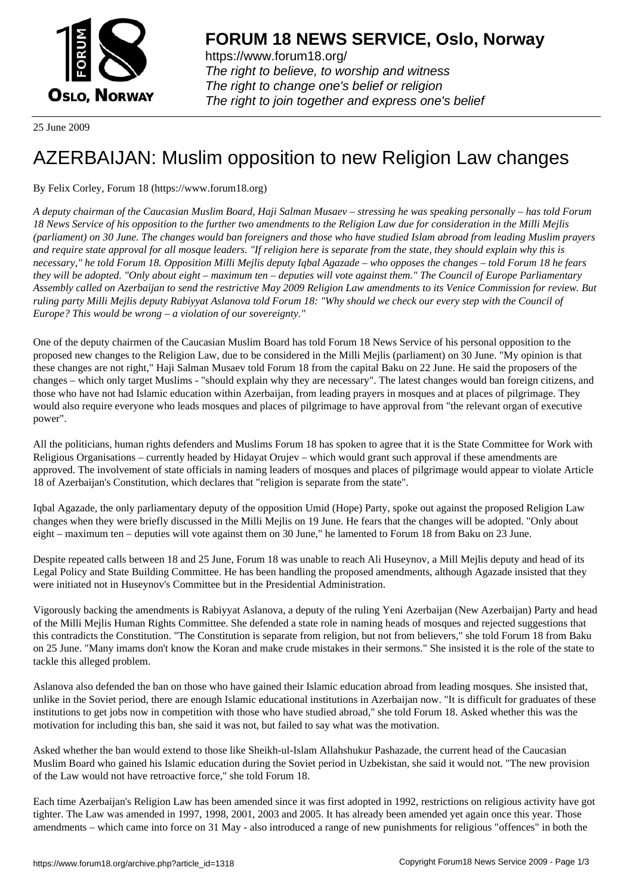

https://www.forum18.org/ The right to believe, to worship and witness The right to change one's belief or religion [The right to join together a](https://www.forum18.org/)nd express one's belief

25 June 2009

# [AZERBAIJAN: M](https://www.forum18.org)uslim opposition to new Religion Law changes

By Felix Corley, Forum 18 (https://www.forum18.org)

*A deputy chairman of the Caucasian Muslim Board, Haji Salman Musaev – stressing he was speaking personally – has told Forum 18 News Service of his opposition to the further two amendments to the Religion Law due for consideration in the Milli Mejlis (parliament) on 30 June. The changes would ban foreigners and those who have studied Islam abroad from leading Muslim prayers and require state approval for all mosque leaders. "If religion here is separate from the state, they should explain why this is necessary," he told Forum 18. Opposition Milli Mejlis deputy Iqbal Agazade – who opposes the changes – told Forum 18 he fears they will be adopted. "Only about eight – maximum ten – deputies will vote against them." The Council of Europe Parliamentary Assembly called on Azerbaijan to send the restrictive May 2009 Religion Law amendments to its Venice Commission for review. But ruling party Milli Mejlis deputy Rabiyyat Aslanova told Forum 18: "Why should we check our every step with the Council of Europe? This would be wrong – a violation of our sovereignty."*

One of the deputy chairmen of the Caucasian Muslim Board has told Forum 18 News Service of his personal opposition to the proposed new changes to the Religion Law, due to be considered in the Milli Mejlis (parliament) on 30 June. "My opinion is that these changes are not right," Haji Salman Musaev told Forum 18 from the capital Baku on 22 June. He said the proposers of the changes – which only target Muslims - "should explain why they are necessary". The latest changes would ban foreign citizens, and those who have not had Islamic education within Azerbaijan, from leading prayers in mosques and at places of pilgrimage. They would also require everyone who leads mosques and places of pilgrimage to have approval from "the relevant organ of executive power".

All the politicians, human rights defenders and Muslims Forum 18 has spoken to agree that it is the State Committee for Work with Religious Organisations – currently headed by Hidayat Orujev – which would grant such approval if these amendments are approved. The involvement of state officials in naming leaders of mosques and places of pilgrimage would appear to violate Article 18 of Azerbaijan's Constitution, which declares that "religion is separate from the state".

Iqbal Agazade, the only parliamentary deputy of the opposition Umid (Hope) Party, spoke out against the proposed Religion Law changes when they were briefly discussed in the Milli Mejlis on 19 June. He fears that the changes will be adopted. "Only about eight – maximum ten – deputies will vote against them on 30 June," he lamented to Forum 18 from Baku on 23 June.

Despite repeated calls between 18 and 25 June, Forum 18 was unable to reach Ali Huseynov, a Mill Mejlis deputy and head of its Legal Policy and State Building Committee. He has been handling the proposed amendments, although Agazade insisted that they were initiated not in Huseynov's Committee but in the Presidential Administration.

Vigorously backing the amendments is Rabiyyat Aslanova, a deputy of the ruling Yeni Azerbaijan (New Azerbaijan) Party and head of the Milli Mejlis Human Rights Committee. She defended a state role in naming heads of mosques and rejected suggestions that this contradicts the Constitution. "The Constitution is separate from religion, but not from believers," she told Forum 18 from Baku on 25 June. "Many imams don't know the Koran and make crude mistakes in their sermons." She insisted it is the role of the state to tackle this alleged problem.

Aslanova also defended the ban on those who have gained their Islamic education abroad from leading mosques. She insisted that, unlike in the Soviet period, there are enough Islamic educational institutions in Azerbaijan now. "It is difficult for graduates of these institutions to get jobs now in competition with those who have studied abroad," she told Forum 18. Asked whether this was the motivation for including this ban, she said it was not, but failed to say what was the motivation.

Asked whether the ban would extend to those like Sheikh-ul-Islam Allahshukur Pashazade, the current head of the Caucasian Muslim Board who gained his Islamic education during the Soviet period in Uzbekistan, she said it would not. "The new provision of the Law would not have retroactive force," she told Forum 18.

Each time Azerbaijan's Religion Law has been amended since it was first adopted in 1992, restrictions on religious activity have got tighter. The Law was amended in 1997, 1998, 2001, 2003 and 2005. It has already been amended yet again once this year. Those amendments – which came into force on 31 May - also introduced a range of new punishments for religious "offences" in both the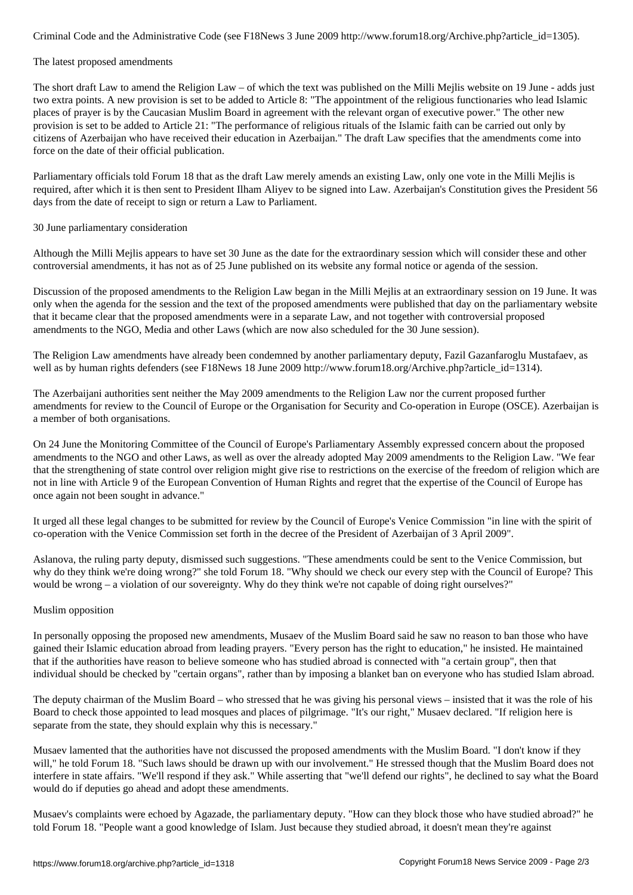#### The latest proposed amendments

The short draft Law to amend the Religion Law – of which the text was published on the Milli Mejlis website on 19 June - adds just two extra points. A new provision is set to be added to Article 8: "The appointment of the religious functionaries who lead Islamic places of prayer is by the Caucasian Muslim Board in agreement with the relevant organ of executive power." The other new provision is set to be added to Article 21: "The performance of religious rituals of the Islamic faith can be carried out only by citizens of Azerbaijan who have received their education in Azerbaijan." The draft Law specifies that the amendments come into force on the date of their official publication.

Parliamentary officials told Forum 18 that as the draft Law merely amends an existing Law, only one vote in the Milli Mejlis is required, after which it is then sent to President Ilham Aliyev to be signed into Law. Azerbaijan's Constitution gives the President 56 days from the date of receipt to sign or return a Law to Parliament.

## 30 June parliamentary consideration

Although the Milli Mejlis appears to have set 30 June as the date for the extraordinary session which will consider these and other controversial amendments, it has not as of 25 June published on its website any formal notice or agenda of the session.

Discussion of the proposed amendments to the Religion Law began in the Milli Mejlis at an extraordinary session on 19 June. It was only when the agenda for the session and the text of the proposed amendments were published that day on the parliamentary website that it became clear that the proposed amendments were in a separate Law, and not together with controversial proposed amendments to the NGO, Media and other Laws (which are now also scheduled for the 30 June session).

The Religion Law amendments have already been condemned by another parliamentary deputy, Fazil Gazanfaroglu Mustafaev, as well as by human rights defenders (see F18News 18 June 2009 http://www.forum18.org/Archive.php?article\_id=1314).

The Azerbaijani authorities sent neither the May 2009 amendments to the Religion Law nor the current proposed further amendments for review to the Council of Europe or the Organisation for Security and Co-operation in Europe (OSCE). Azerbaijan is a member of both organisations.

On 24 June the Monitoring Committee of the Council of Europe's Parliamentary Assembly expressed concern about the proposed amendments to the NGO and other Laws, as well as over the already adopted May 2009 amendments to the Religion Law. "We fear that the strengthening of state control over religion might give rise to restrictions on the exercise of the freedom of religion which are not in line with Article 9 of the European Convention of Human Rights and regret that the expertise of the Council of Europe has once again not been sought in advance."

It urged all these legal changes to be submitted for review by the Council of Europe's Venice Commission "in line with the spirit of co-operation with the Venice Commission set forth in the decree of the President of Azerbaijan of 3 April 2009".

Aslanova, the ruling party deputy, dismissed such suggestions. "These amendments could be sent to the Venice Commission, but why do they think we're doing wrong?" she told Forum 18. "Why should we check our every step with the Council of Europe? This would be wrong – a violation of our sovereignty. Why do they think we're not capable of doing right ourselves?"

## Muslim opposition

In personally opposing the proposed new amendments, Musaev of the Muslim Board said he saw no reason to ban those who have gained their Islamic education abroad from leading prayers. "Every person has the right to education," he insisted. He maintained that if the authorities have reason to believe someone who has studied abroad is connected with "a certain group", then that individual should be checked by "certain organs", rather than by imposing a blanket ban on everyone who has studied Islam abroad.

The deputy chairman of the Muslim Board – who stressed that he was giving his personal views – insisted that it was the role of his Board to check those appointed to lead mosques and places of pilgrimage. "It's our right," Musaev declared. "If religion here is separate from the state, they should explain why this is necessary."

Musaev lamented that the authorities have not discussed the proposed amendments with the Muslim Board. "I don't know if they will," he told Forum 18. "Such laws should be drawn up with our involvement." He stressed though that the Muslim Board does not interfere in state affairs. "We'll respond if they ask." While asserting that "we'll defend our rights", he declined to say what the Board would do if deputies go ahead and adopt these amendments.

Musaev's complaints were echoed by Agazade, the parliamentary deputy. "How can they block those who have studied abroad?" he told Forum 18. "People want a good knowledge of Islam. Just because they studied abroad, it doesn't mean they're against